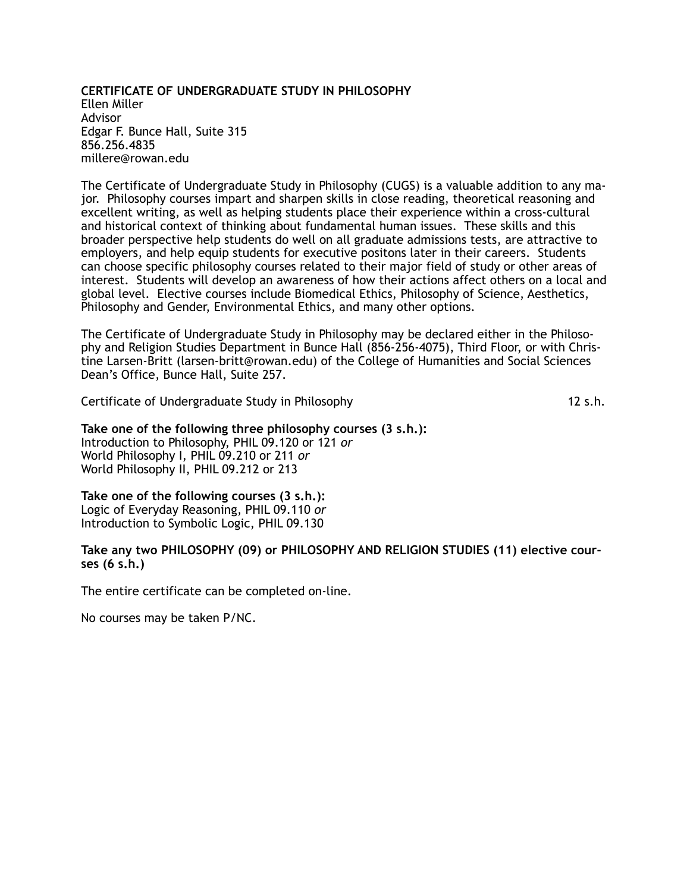### **CERTIFICATE OF UNDERGRADUATE STUDY IN PHILOSOPHY** Ellen Miller Advisor Edgar F. Bunce Hall, Suite 315 856.256.4835 millere@rowan.edu

The Certificate of Undergraduate Study in Philosophy (CUGS) is a valuable addition to any major. Philosophy courses impart and sharpen skills in close reading, theoretical reasoning and excellent writing, as well as helping students place their experience within a cross-cultural and historical context of thinking about fundamental human issues. These skills and this broader perspective help students do well on all graduate admissions tests, are attractive to employers, and help equip students for executive positons later in their careers. Students can choose specific philosophy courses related to their major field of study or other areas of interest. Students will develop an awareness of how their actions affect others on a local and global level. Elective courses include Biomedical Ethics, Philosophy of Science, Aesthetics, Philosophy and Gender, Environmental Ethics, and many other options.

The Certificate of Undergraduate Study in Philosophy may be declared either in the Philosophy and Religion Studies Department in Bunce Hall (856-256-4075), Third Floor, or with Christine Larsen-Britt (larsen-britt@rowan.edu) of the College of Humanities and Social Sciences Dean's Office, Bunce Hall, Suite 257.

Certificate of Undergraduate Study in Philosophy 12 s.h.

### **Take one of the following three philosophy courses (3 s.h.):** Introduction to Philosophy, PHIL 09.120 or 121 *or*  World Philosophy I, PHIL 09.210 or 211 *or*  World Philosophy II, PHIL 09.212 or 213

**Take one of the following courses (3 s.h.):** Logic of Everyday Reasoning, PHIL 09.110 *or* Introduction to Symbolic Logic, PHIL 09.130

### **Take any two PHILOSOPHY (09) or PHILOSOPHY AND RELIGION STUDIES (11) elective courses (6 s.h.)**

The entire certificate can be completed on-line.

No courses may be taken P/NC.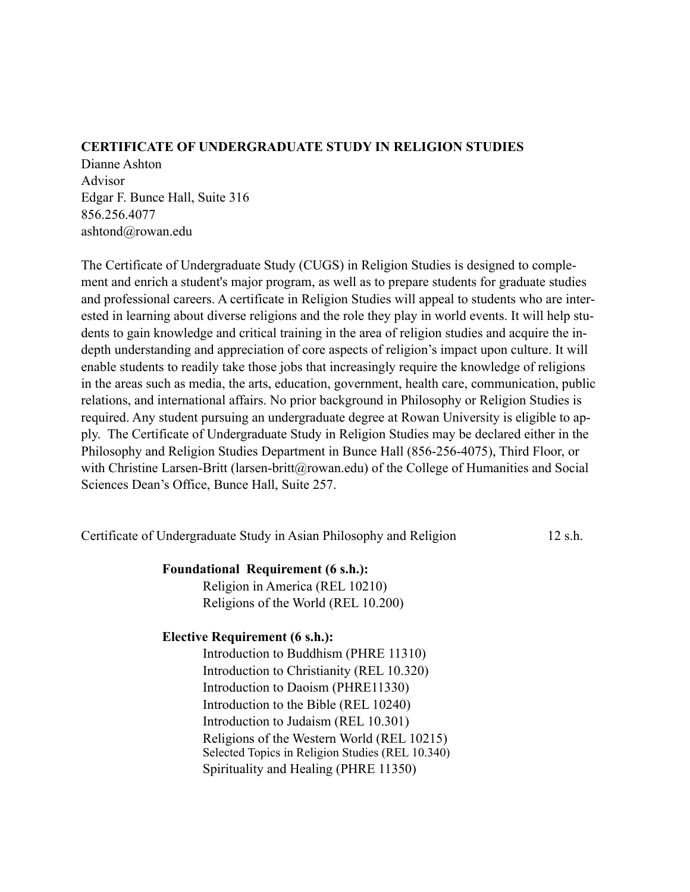## **CERTIFICATE OF UNDERGRADUATE STUDY IN RELIGION STUDIES**

Dianne Ashton Advisor Edgar F. Bunce Hall, Suite 316 856.256.4077 ashtond@rowan.edu

The Certificate of Undergraduate Study (CUGS) in Religion Studies is designed to complement and enrich a student's major program, as well as to prepare students for graduate studies and professional careers. A certificate in Religion Studies will appeal to students who are interested in learning about diverse religions and the role they play in world events. It will help students to gain knowledge and critical training in the area of religion studies and acquire the indepth understanding and appreciation of core aspects of religion's impact upon culture. It will enable students to readily take those jobs that increasingly require the knowledge of religions in the areas such as media, the arts, education, government, health care, communication, public relations, and international affairs. No prior background in Philosophy or Religion Studies is required. Any student pursuing an undergraduate degree at Rowan University is eligible to apply. The Certificate of Undergraduate Study in Religion Studies may be declared either in the Philosophy and Religion Studies Department in Bunce Hall (856-256-4075), Third Floor, or with Christine Larsen-Britt (larsen-britt@rowan.edu) of the College of Humanities and Social Sciences Dean's Office, Bunce Hall, Suite 257.

Certificate of Undergraduate Study in Asian Philosophy and Religion 12 s.h.

## **Foundational Requirement (6 s.h.):**

Religion in America (REL 10210) Religions of the World (REL 10.200)

# **Elective Requirement (6 s.h.):**

Introduction to Buddhism (PHRE 11310) Introduction to Christianity (REL 10.320) Introduction to Daoism (PHRE11330) Introduction to the Bible (REL 10240) Introduction to Judaism (REL 10.301) Religions of the Western World (REL 10215) Selected Topics in Religion Studies (REL 10.340) Spirituality and Healing (PHRE 11350)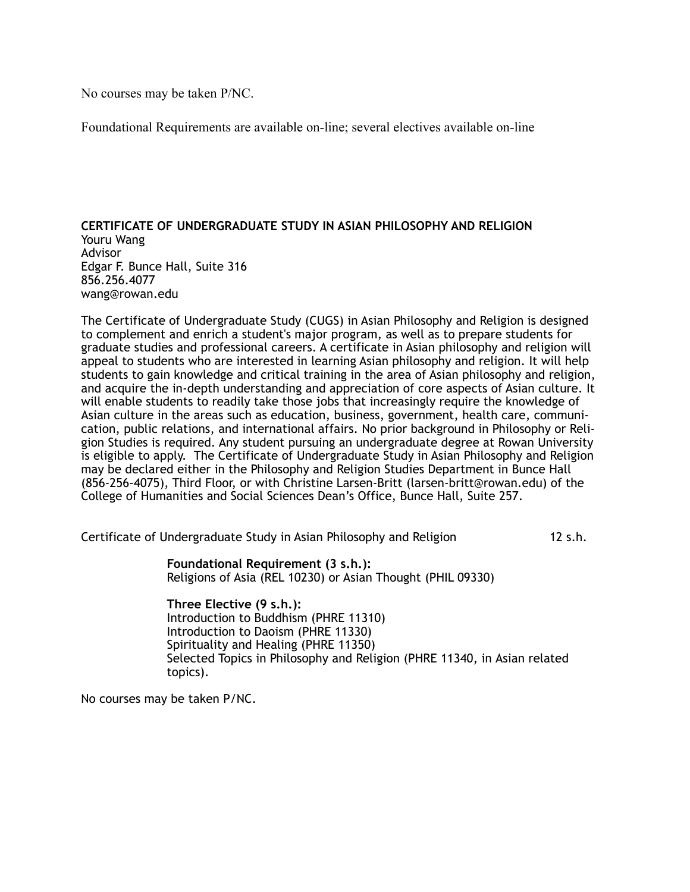No courses may be taken P/NC.

Foundational Requirements are available on-line; several electives available on-line

### **CERTIFICATE OF UNDERGRADUATE STUDY IN ASIAN PHILOSOPHY AND RELIGION** Youru Wang Advisor Edgar F. Bunce Hall, Suite 316 856.256.4077 wang@rowan.edu

The Certificate of Undergraduate Study (CUGS) in Asian Philosophy and Religion is designed to complement and enrich a student's major program, as well as to prepare students for graduate studies and professional careers. A certificate in Asian philosophy and religion will appeal to students who are interested in learning Asian philosophy and religion. It will help students to gain knowledge and critical training in the area of Asian philosophy and religion, and acquire the in-depth understanding and appreciation of core aspects of Asian culture. It will enable students to readily take those jobs that increasingly require the knowledge of Asian culture in the areas such as education, business, government, health care, communication, public relations, and international affairs. No prior background in Philosophy or Religion Studies is required. Any student pursuing an undergraduate degree at Rowan University is eligible to apply. The Certificate of Undergraduate Study in Asian Philosophy and Religion may be declared either in the Philosophy and Religion Studies Department in Bunce Hall (856-256-4075), Third Floor, or with Christine Larsen-Britt (larsen-britt@rowan.edu) of the College of Humanities and Social Sciences Dean's Office, Bunce Hall, Suite 257.

Certificate of Undergraduate Study in Asian Philosophy and Religion 12 s.h.

 **Foundational Requirement (3 s.h.):** Religions of Asia (REL 10230) or Asian Thought (PHIL 09330)

 **Three Elective (9 s.h.):** Introduction to Buddhism (PHRE 11310) Introduction to Daoism (PHRE 11330) Spirituality and Healing (PHRE 11350) Selected Topics in Philosophy and Religion (PHRE 11340, in Asian related topics).

No courses may be taken P/NC.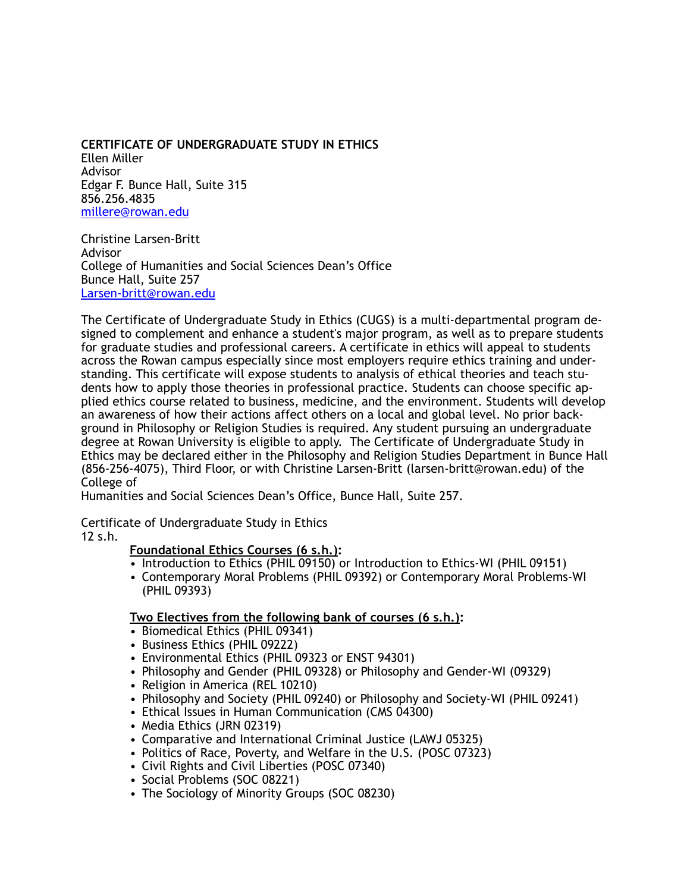## **CERTIFICATE OF UNDERGRADUATE STUDY IN ETHICS**

Ellen Miller Advisor Edgar F. Bunce Hall, Suite 315 856.256.4835 [millere@rowan.edu](mailto:millere@rowan.edu)

Christine Larsen-Britt Advisor College of Humanities and Social Sciences Dean's Office Bunce Hall, Suite 257 [Larsen-britt@rowan.edu](mailto:Larsen-britt@rowan.edu)

The Certificate of Undergraduate Study in Ethics (CUGS) is a multi-departmental program designed to complement and enhance a student's major program, as well as to prepare students for graduate studies and professional careers. A certificate in ethics will appeal to students across the Rowan campus especially since most employers require ethics training and understanding. This certificate will expose students to analysis of ethical theories and teach students how to apply those theories in professional practice. Students can choose specific applied ethics course related to business, medicine, and the environment. Students will develop an awareness of how their actions affect others on a local and global level. No prior background in Philosophy or Religion Studies is required. Any student pursuing an undergraduate degree at Rowan University is eligible to apply. The Certificate of Undergraduate Study in Ethics may be declared either in the Philosophy and Religion Studies Department in Bunce Hall (856-256-4075), Third Floor, or with Christine Larsen-Britt (larsen-britt@rowan.edu) of the College of

Humanities and Social Sciences Dean's Office, Bunce Hall, Suite 257.

Certificate of Undergraduate Study in Ethics

12 s.h.

## **Foundational Ethics Courses (6 s.h.):**

- Introduction to Ethics (PHIL 09150) or Introduction to Ethics-WI (PHIL 09151)
- Contemporary Moral Problems (PHIL 09392) or Contemporary Moral Problems-WI (PHIL 09393)

## **Two Electives from the following bank of courses (6 s.h.):**

- Biomedical Ethics (PHIL 09341)
- Business Ethics (PHIL 09222)
- Environmental Ethics (PHIL 09323 or ENST 94301)
- Philosophy and Gender (PHIL 09328) or Philosophy and Gender-WI (09329)
- Religion in America (REL 10210)
- Philosophy and Society (PHIL 09240) or Philosophy and Society-WI (PHIL 09241)
- Ethical Issues in Human Communication (CMS 04300)
- Media Ethics (JRN 02319)
- Comparative and International Criminal Justice (LAWJ 05325)
- Politics of Race, Poverty, and Welfare in the U.S. (POSC 07323)
- Civil Rights and Civil Liberties (POSC 07340)
- Social Problems (SOC 08221)
- The Sociology of Minority Groups (SOC 08230)